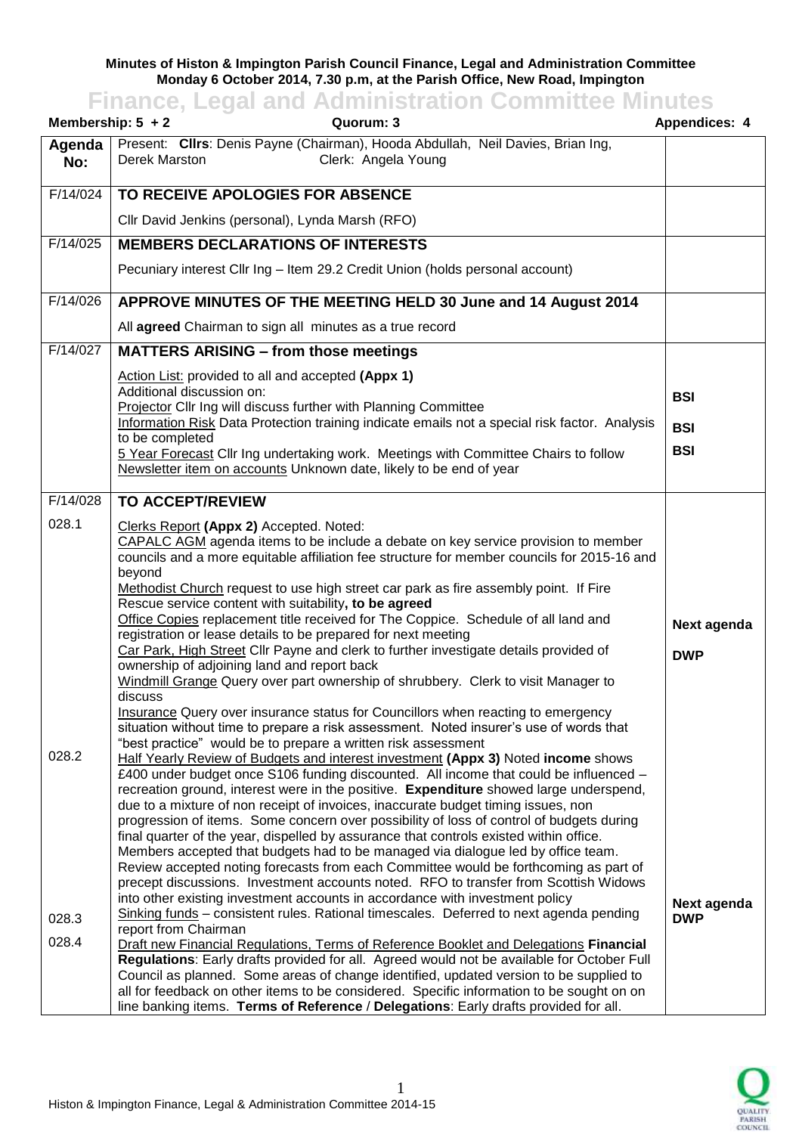## **Minutes of Histon & Impington Parish Council Finance, Legal and Administration Committee Monday 6 October 2014, 7.30 p.m, at the Parish Office, New Road, Impington**

## **Finance, Legal and Administration Committee Minutes**

| Membership: $5 + 2$   | Quorum: 3                                                                                                                                                                                                                                                                                                                                                                                                                                                                                                                                                                                                                                                                                                                                                                                                                                                                                                                                                                                                                                                                                     | Appendices: 4             |
|-----------------------|-----------------------------------------------------------------------------------------------------------------------------------------------------------------------------------------------------------------------------------------------------------------------------------------------------------------------------------------------------------------------------------------------------------------------------------------------------------------------------------------------------------------------------------------------------------------------------------------------------------------------------------------------------------------------------------------------------------------------------------------------------------------------------------------------------------------------------------------------------------------------------------------------------------------------------------------------------------------------------------------------------------------------------------------------------------------------------------------------|---------------------------|
| Agenda<br>No:         | Present: Cllrs: Denis Payne (Chairman), Hooda Abdullah, Neil Davies, Brian Ing,<br>Clerk: Angela Young<br>Derek Marston                                                                                                                                                                                                                                                                                                                                                                                                                                                                                                                                                                                                                                                                                                                                                                                                                                                                                                                                                                       |                           |
| F/14/024              | TO RECEIVE APOLOGIES FOR ABSENCE                                                                                                                                                                                                                                                                                                                                                                                                                                                                                                                                                                                                                                                                                                                                                                                                                                                                                                                                                                                                                                                              |                           |
|                       | Cllr David Jenkins (personal), Lynda Marsh (RFO)                                                                                                                                                                                                                                                                                                                                                                                                                                                                                                                                                                                                                                                                                                                                                                                                                                                                                                                                                                                                                                              |                           |
| F/14/025              | <b>MEMBERS DECLARATIONS OF INTERESTS</b>                                                                                                                                                                                                                                                                                                                                                                                                                                                                                                                                                                                                                                                                                                                                                                                                                                                                                                                                                                                                                                                      |                           |
|                       | Pecuniary interest Cllr Ing - Item 29.2 Credit Union (holds personal account)                                                                                                                                                                                                                                                                                                                                                                                                                                                                                                                                                                                                                                                                                                                                                                                                                                                                                                                                                                                                                 |                           |
| F/14/026              | APPROVE MINUTES OF THE MEETING HELD 30 June and 14 August 2014                                                                                                                                                                                                                                                                                                                                                                                                                                                                                                                                                                                                                                                                                                                                                                                                                                                                                                                                                                                                                                |                           |
|                       | All agreed Chairman to sign all minutes as a true record                                                                                                                                                                                                                                                                                                                                                                                                                                                                                                                                                                                                                                                                                                                                                                                                                                                                                                                                                                                                                                      |                           |
| F/14/027              | <b>MATTERS ARISING - from those meetings</b>                                                                                                                                                                                                                                                                                                                                                                                                                                                                                                                                                                                                                                                                                                                                                                                                                                                                                                                                                                                                                                                  |                           |
|                       | Action List: provided to all and accepted (Appx 1)<br>Additional discussion on:<br>Projector Cllr Ing will discuss further with Planning Committee<br>Information Risk Data Protection training indicate emails not a special risk factor. Analysis                                                                                                                                                                                                                                                                                                                                                                                                                                                                                                                                                                                                                                                                                                                                                                                                                                           | <b>BSI</b><br><b>BSI</b>  |
|                       | to be completed<br>5 Year Forecast Cllr Ing undertaking work. Meetings with Committee Chairs to follow<br>Newsletter item on accounts Unknown date, likely to be end of year                                                                                                                                                                                                                                                                                                                                                                                                                                                                                                                                                                                                                                                                                                                                                                                                                                                                                                                  | <b>BSI</b>                |
| $\overline{F/14/028}$ | <b>TO ACCEPT/REVIEW</b>                                                                                                                                                                                                                                                                                                                                                                                                                                                                                                                                                                                                                                                                                                                                                                                                                                                                                                                                                                                                                                                                       |                           |
| 028.1                 | Clerks Report (Appx 2) Accepted. Noted:<br>CAPALC AGM agenda items to be include a debate on key service provision to member<br>councils and a more equitable affiliation fee structure for member councils for 2015-16 and<br>beyond<br>Methodist Church request to use high street car park as fire assembly point. If Fire<br>Rescue service content with suitability, to be agreed<br>Office Copies replacement title received for The Coppice. Schedule of all land and<br>registration or lease details to be prepared for next meeting<br>Car Park, High Street Cllr Payne and clerk to further investigate details provided of<br>ownership of adjoining land and report back<br>Windmill Grange Query over part ownership of shrubbery. Clerk to visit Manager to<br>discuss<br>Insurance Query over insurance status for Councillors when reacting to emergency<br>situation without time to prepare a risk assessment. Noted insurer's use of words that                                                                                                                           | Next agenda<br><b>DWP</b> |
| 028.2<br>028.3        | "best practice" would be to prepare a written risk assessment<br><b>Half Yearly Review of Budgets and interest investment (Appx 3) Noted income shows</b><br>£400 under budget once S106 funding discounted. All income that could be influenced -<br>recreation ground, interest were in the positive. Expenditure showed large underspend,<br>due to a mixture of non receipt of invoices, inaccurate budget timing issues, non<br>progression of items. Some concern over possibility of loss of control of budgets during<br>final quarter of the year, dispelled by assurance that controls existed within office.<br>Members accepted that budgets had to be managed via dialogue led by office team.<br>Review accepted noting forecasts from each Committee would be forthcoming as part of<br>precept discussions. Investment accounts noted. RFO to transfer from Scottish Widows<br>into other existing investment accounts in accordance with investment policy<br>Sinking funds - consistent rules. Rational timescales. Deferred to next agenda pending<br>report from Chairman | Next agenda<br><b>DWP</b> |
| 028.4                 | Draft new Financial Regulations, Terms of Reference Booklet and Delegations Financial<br>Regulations: Early drafts provided for all. Agreed would not be available for October Full<br>Council as planned. Some areas of change identified, updated version to be supplied to<br>all for feedback on other items to be considered. Specific information to be sought on on<br>line banking items. Terms of Reference / Delegations: Early drafts provided for all.                                                                                                                                                                                                                                                                                                                                                                                                                                                                                                                                                                                                                            |                           |